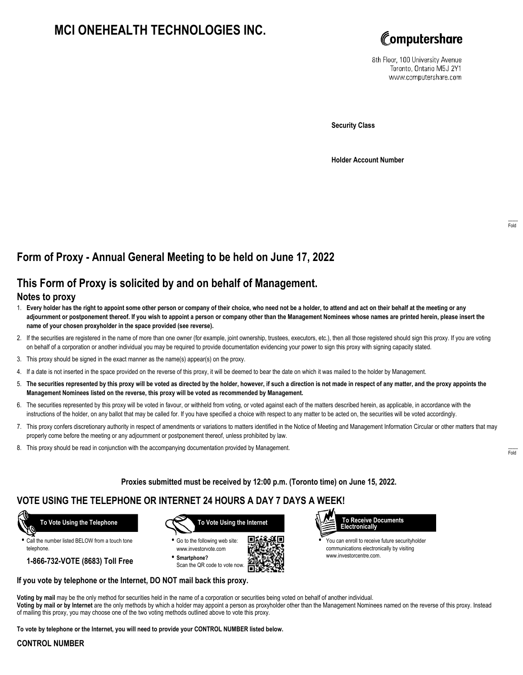# **MCI ONEHEALTH TECHNOLOGIES INC.**



8th Floor, 100 University Avenue Toronto, Ontario M5J 2Y1 www.computershare.com

**Security Class**

**Holder Account Number**

# **Form of Proxy - Annual General Meeting to be held on June 17, 2022**

## **This Form of Proxy is solicited by and on behalf of Management.**

### **Notes to proxy**

- 1. **Every holder has the right to appoint some other person or company of their choice, who need not be a holder, to attend and act on their behalf at the meeting or any adjournment or postponement thereof. If you wish to appoint a person or company other than the Management Nominees whose names are printed herein, please insert the name of your chosen proxyholder in the space provided (see reverse).**
- 2. If the securities are registered in the name of more than one owner (for example, joint ownership, trustees, executors, etc.), then all those registered should sign this proxy. If you are voting on behalf of a corporation or another individual you may be required to provide documentation evidencing your power to sign this proxy with signing capacity stated.
- 3. This proxy should be signed in the exact manner as the name(s) appear(s) on the proxy.
- 4. If a date is not inserted in the space provided on the reverse of this proxy, it will be deemed to bear the date on which it was mailed to the holder by Management.
- 5. **The securities represented by this proxy will be voted as directed by the holder, however, if such a direction is not made in respect of any matter, and the proxy appoints the Management Nominees listed on the reverse, this proxy will be voted as recommended by Management.**
- 6. The securities represented by this proxy will be voted in favour, or withheld from voting, or voted against each of the matters described herein, as applicable, in accordance with the instructions of the holder, on any ballot that may be called for. If you have specified a choice with respect to any matter to be acted on, the securities will be voted accordingly.
- 7. This proxy confers discretionary authority in respect of amendments or variations to matters identified in the Notice of Meeting and Management Information Circular or other matters that may properly come before the meeting or any adjournment or postponement thereof, unless prohibited by law.
- 8. This proxy should be read in conjunction with the accompanying documentation provided by Management.

**Proxies submitted must be received by 12:00 p.m. (Toronto time) on June 15, 2022.**

## **VOTE USING THE TELEPHONE OR INTERNET 24 HOURS A DAY 7 DAYS A WEEK!**



**•** Call the number listed BELOW from a touch tone telephone.

**1-866-732-VOTE (8683) Toll Free**



**•** Go to the following web site: www.investorvote.com **• Smartphone?**

Scan the QR code to vote now.





**•** You can enroll to receive future securityholder communications electronically by visiting www.investorcentre.com.

### **If you vote by telephone or the Internet, DO NOT mail back this proxy.**

**Voting by mail** may be the only method for securities held in the name of a corporation or securities being voted on behalf of another individual. **Voting by mail or by Internet** are the only methods by which a holder may appoint a person as proxyholder other than the Management Nominees named on the reverse of this proxy. Instead of mailing this proxy, you may choose one of the two voting methods outlined above to vote this proxy.

**To vote by telephone or the Internet, you will need to provide your CONTROL NUMBER listed below.**

### **CONTROL NUMBER**